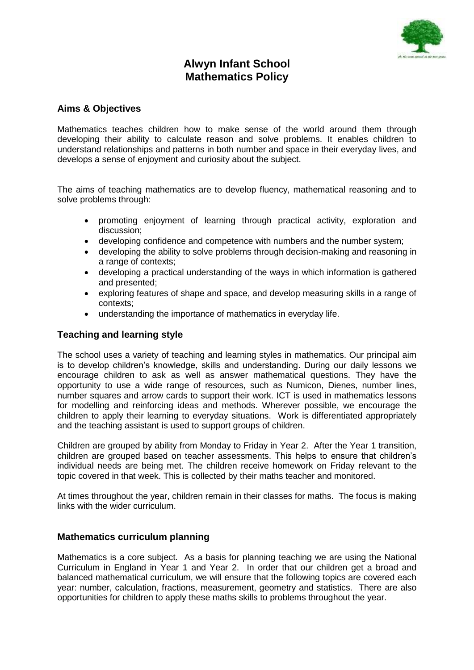

# **Alwyn Infant School Mathematics Policy**

## **Aims & Objectives**

Mathematics teaches children how to make sense of the world around them through developing their ability to calculate reason and solve problems. It enables children to understand relationships and patterns in both number and space in their everyday lives, and develops a sense of enjoyment and curiosity about the subject.

The aims of teaching mathematics are to develop fluency, mathematical reasoning and to solve problems through:

- promoting enjoyment of learning through practical activity, exploration and discussion;
- developing confidence and competence with numbers and the number system;
- developing the ability to solve problems through decision-making and reasoning in a range of contexts;
- developing a practical understanding of the ways in which information is gathered and presented;
- exploring features of shape and space, and develop measuring skills in a range of contexts;
- understanding the importance of mathematics in everyday life.

### **Teaching and learning style**

The school uses a variety of teaching and learning styles in mathematics. Our principal aim is to develop children's knowledge, skills and understanding. During our daily lessons we encourage children to ask as well as answer mathematical questions. They have the opportunity to use a wide range of resources, such as Numicon, Dienes, number lines, number squares and arrow cards to support their work. ICT is used in mathematics lessons for modelling and reinforcing ideas and methods. Wherever possible, we encourage the children to apply their learning to everyday situations. Work is differentiated appropriately and the teaching assistant is used to support groups of children.

Children are grouped by ability from Monday to Friday in Year 2. After the Year 1 transition, children are grouped based on teacher assessments. This helps to ensure that children's individual needs are being met. The children receive homework on Friday relevant to the topic covered in that week. This is collected by their maths teacher and monitored.

At times throughout the year, children remain in their classes for maths. The focus is making links with the wider curriculum.

#### **Mathematics curriculum planning**

Mathematics is a core subject. As a basis for planning teaching we are using the National Curriculum in England in Year 1 and Year 2. In order that our children get a broad and balanced mathematical curriculum, we will ensure that the following topics are covered each year: number, calculation, fractions, measurement, geometry and statistics. There are also opportunities for children to apply these maths skills to problems throughout the year.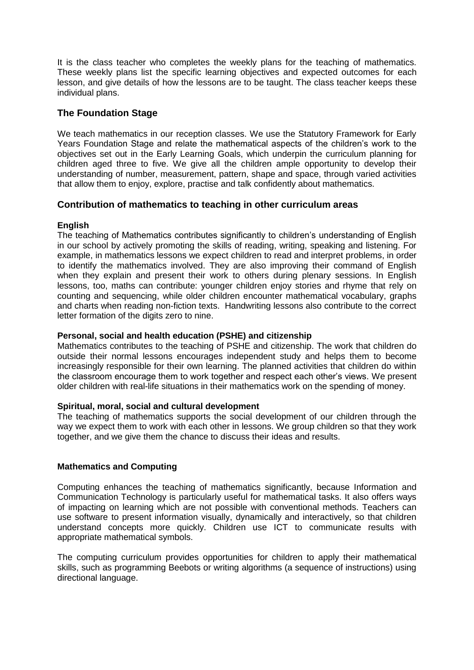It is the class teacher who completes the weekly plans for the teaching of mathematics. These weekly plans list the specific learning objectives and expected outcomes for each lesson, and give details of how the lessons are to be taught. The class teacher keeps these individual plans.

# **The Foundation Stage**

We teach mathematics in our reception classes. We use the Statutory Framework for Early Years Foundation Stage and relate the mathematical aspects of the children's work to the objectives set out in the Early Learning Goals, which underpin the curriculum planning for children aged three to five. We give all the children ample opportunity to develop their understanding of number, measurement, pattern, shape and space, through varied activities that allow them to enjoy, explore, practise and talk confidently about mathematics.

# **Contribution of mathematics to teaching in other curriculum areas**

### **English**

The teaching of Mathematics contributes significantly to children's understanding of English in our school by actively promoting the skills of reading, writing, speaking and listening. For example, in mathematics lessons we expect children to read and interpret problems, in order to identify the mathematics involved. They are also improving their command of English when they explain and present their work to others during plenary sessions. In English lessons, too, maths can contribute: younger children enjoy stories and rhyme that rely on counting and sequencing, while older children encounter mathematical vocabulary, graphs and charts when reading non-fiction texts. Handwriting lessons also contribute to the correct letter formation of the digits zero to nine.

#### **Personal, social and health education (PSHE) and citizenship**

Mathematics contributes to the teaching of PSHE and citizenship. The work that children do outside their normal lessons encourages independent study and helps them to become increasingly responsible for their own learning. The planned activities that children do within the classroom encourage them to work together and respect each other's views. We present older children with real-life situations in their mathematics work on the spending of money.

#### **Spiritual, moral, social and cultural development**

The teaching of mathematics supports the social development of our children through the way we expect them to work with each other in lessons. We group children so that they work together, and we give them the chance to discuss their ideas and results.

#### **Mathematics and Computing**

Computing enhances the teaching of mathematics significantly, because Information and Communication Technology is particularly useful for mathematical tasks. It also offers ways of impacting on learning which are not possible with conventional methods. Teachers can use software to present information visually, dynamically and interactively, so that children understand concepts more quickly. Children use ICT to communicate results with appropriate mathematical symbols.

The computing curriculum provides opportunities for children to apply their mathematical skills, such as programming Beebots or writing algorithms (a sequence of instructions) using directional language.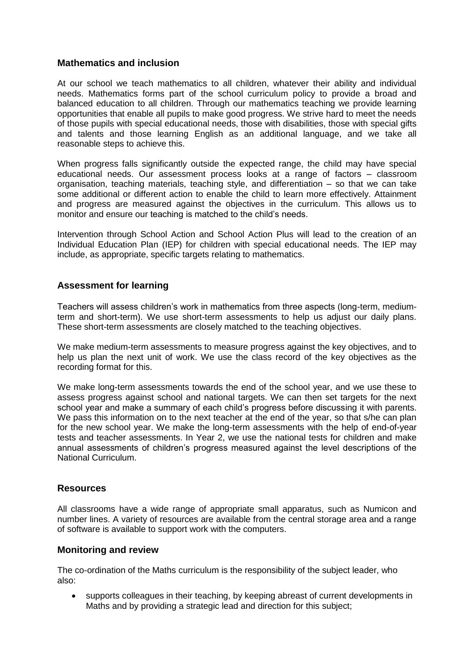### **Mathematics and inclusion**

At our school we teach mathematics to all children, whatever their ability and individual needs. Mathematics forms part of the school curriculum policy to provide a broad and balanced education to all children. Through our mathematics teaching we provide learning opportunities that enable all pupils to make good progress. We strive hard to meet the needs of those pupils with special educational needs, those with disabilities, those with special gifts and talents and those learning English as an additional language, and we take all reasonable steps to achieve this.

When progress falls significantly outside the expected range, the child may have special educational needs. Our assessment process looks at a range of factors – classroom organisation, teaching materials, teaching style, and differentiation – so that we can take some additional or different action to enable the child to learn more effectively. Attainment and progress are measured against the objectives in the curriculum. This allows us to monitor and ensure our teaching is matched to the child's needs.

Intervention through School Action and School Action Plus will lead to the creation of an Individual Education Plan (IEP) for children with special educational needs. The IEP may include, as appropriate, specific targets relating to mathematics.

# **Assessment for learning**

Teachers will assess children's work in mathematics from three aspects (long-term, mediumterm and short-term). We use short-term assessments to help us adjust our daily plans. These short-term assessments are closely matched to the teaching objectives.

We make medium-term assessments to measure progress against the key objectives, and to help us plan the next unit of work. We use the class record of the key objectives as the recording format for this.

We make long-term assessments towards the end of the school year, and we use these to assess progress against school and national targets. We can then set targets for the next school year and make a summary of each child's progress before discussing it with parents. We pass this information on to the next teacher at the end of the year, so that s/he can plan for the new school year. We make the long-term assessments with the help of end-of-year tests and teacher assessments. In Year 2, we use the national tests for children and make annual assessments of children's progress measured against the level descriptions of the National Curriculum.

#### **Resources**

All classrooms have a wide range of appropriate small apparatus, such as Numicon and number lines. A variety of resources are available from the central storage area and a range of software is available to support work with the computers.

#### **Monitoring and review**

The co-ordination of the Maths curriculum is the responsibility of the subject leader, who also:

 supports colleagues in their teaching, by keeping abreast of current developments in Maths and by providing a strategic lead and direction for this subject;